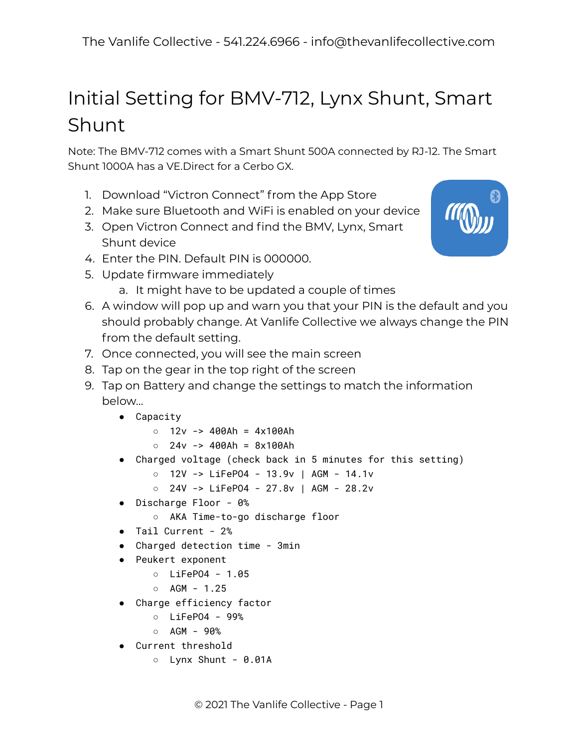## Initial Setting for BMV-712, Lynx Shunt, Smart Shunt

Note: The BMV-712 comes with a Smart Shunt 500A connected by RJ-12. The Smart Shunt 1000A has a VE.Direct for a Cerbo GX.

- 1. Download "Victron Connect" from the App Store
- 2. Make sure Bluetooth and WiFi is enabled on your device
- 3. Open Victron Connect and find the BMV, Lynx, Smart Shunt device
- 4. Enter the PIN. Default PIN is 000000.
- 5. Update firmware immediately
	- a. It might have to be updated a couple of times
- 6. A window will pop up and warn you that your PIN is the default and you should probably change. At Vanlife Collective we always change the PIN from the default setting.
- 7. Once connected, you will see the main screen
- 8. Tap on the gear in the top right of the screen
- 9. Tap on Battery and change the settings to match the information below…
	- Capacity
		- $0$  12v -> 400Ah = 4x100Ah
		- $0 \, 24v \rightarrow 400Ah = 8x100Ah$
	- Charged voltage (check back in 5 minutes for this setting)
		- 12V -> LiFePO4 13.9v | AGM 14.1v
		- 24V -> LiFePO4 27.8v | AGM 28.2v
	- Discharge Floor 0%
		- AKA Time-to-go discharge floor
	- Tail Current 2%
	- Charged detection time 3min
	- Peukert exponent
		- LiFePO4 1.05
		- AGM 1.25
	- Charge efficiency factor
		- LiFePO4 99%
		- $O$  AGM 90%
	- Current threshold
		- Lynx Shunt 0.01A

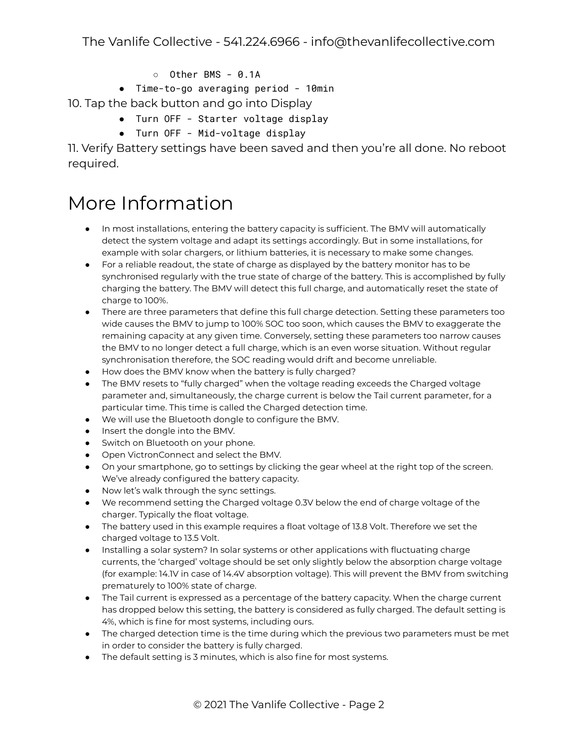- Other BMS 0.1A
- Time-to-go averaging period 10min

10. Tap the back button and go into Display

- Turn OFF Starter voltage display
- Turn OFF Mid-voltage display

11. Verify Battery settings have been saved and then you're all done. No reboot required.

## More Information

- In most installations, entering the battery capacity is sufficient. The BMV will automatically detect the system voltage and adapt its settings accordingly. But in some installations, for example with solar chargers, or lithium batteries, it is necessary to make some changes.
- For a reliable readout, the state of charge as displayed by the battery monitor has to be synchronised regularly with the true state of charge of the battery. This is accomplished by fully charging the battery. The BMV will detect this full charge, and automatically reset the state of charge to 100%.
- There are three parameters that define this full charge detection. Setting these parameters too wide causes the BMV to jump to 100% SOC too soon, which causes the BMV to exaggerate the remaining capacity at any given time. Conversely, setting these parameters too narrow causes the BMV to no longer detect a full charge, which is an even worse situation. Without regular synchronisation therefore, the SOC reading would drift and become unreliable.
- How does the BMV know when the battery is fully charged?
- The BMV resets to "fully charged" when the voltage reading exceeds the Charged voltage parameter and, simultaneously, the charge current is below the Tail current parameter, for a particular time. This time is called the Charged detection time.
- We will use the Bluetooth dongle to configure the BMV.
- Insert the dongle into the BMV.
- Switch on Bluetooth on your phone.
- Open VictronConnect and select the BMV.
- On your smartphone, go to settings by clicking the gear wheel at the right top of the screen. We've already configured the battery capacity.
- Now let's walk through the sync settings.
- We recommend setting the Charged voltage 0.3V below the end of charge voltage of the charger. Typically the float voltage.
- The battery used in this example requires a float voltage of 13.8 Volt. Therefore we set the charged voltage to 13.5 Volt.
- Installing a solar system? In solar systems or other applications with fluctuating charge currents, the 'charged' voltage should be set only slightly below the absorption charge voltage (for example: 14.1V in case of 14.4V absorption voltage). This will prevent the BMV from switching prematurely to 100% state of charge.
- The Tail current is expressed as a percentage of the battery capacity. When the charge current has dropped below this setting, the battery is considered as fully charged. The default setting is 4%, which is fine for most systems, including ours.
- The charged detection time is the time during which the previous two parameters must be met in order to consider the battery is fully charged.
- The default setting is 3 minutes, which is also fine for most systems.